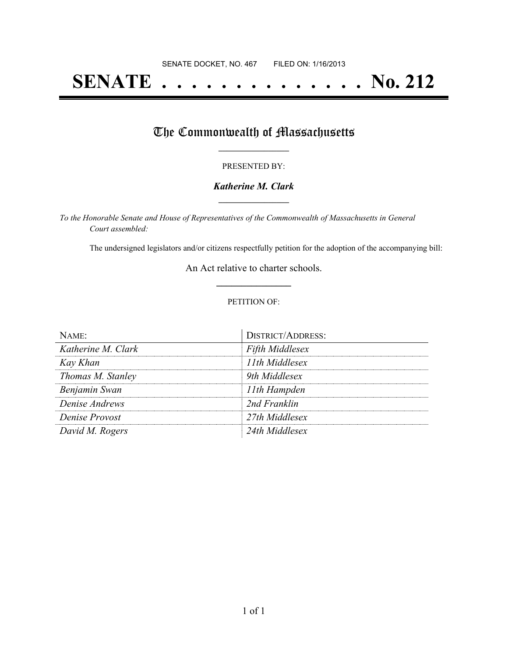# **SENATE . . . . . . . . . . . . . . No. 212**

## The Commonwealth of Massachusetts

#### PRESENTED BY:

#### *Katherine M. Clark* **\_\_\_\_\_\_\_\_\_\_\_\_\_\_\_\_\_**

*To the Honorable Senate and House of Representatives of the Commonwealth of Massachusetts in General Court assembled:*

The undersigned legislators and/or citizens respectfully petition for the adoption of the accompanying bill:

An Act relative to charter schools. **\_\_\_\_\_\_\_\_\_\_\_\_\_\_\_**

#### PETITION OF:

| Name:              | <b>DISTRICT/ADDRESS:</b> |
|--------------------|--------------------------|
| Katherine M. Clark | <b>Fifth Middlesex</b>   |
| Kay Khan           | 11th Middlesex           |
| Thomas M. Stanley  | 9th Middlesex            |
| Benjamin Swan      | 11th Hampden             |
| Denise Andrews     | 2nd Franklin             |
| Denise Provost     | 27th Middlesex           |
| David M. Rogers    | 24th Middlesex           |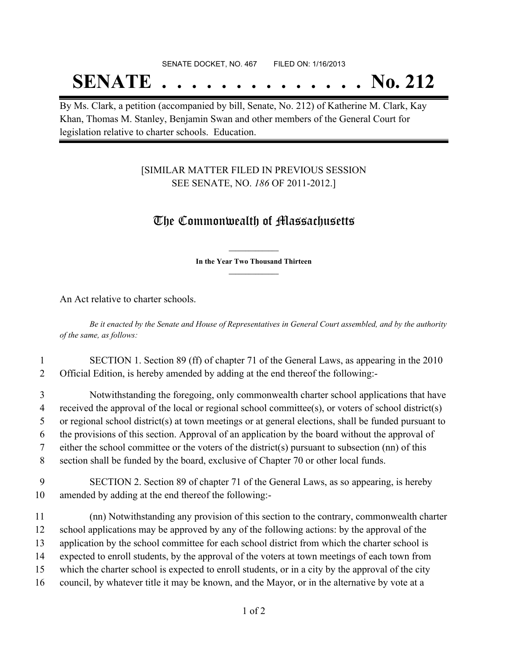### SENATE DOCKET, NO. 467 FILED ON: 1/16/2013

## **SENATE . . . . . . . . . . . . . . No. 212**

By Ms. Clark, a petition (accompanied by bill, Senate, No. 212) of Katherine M. Clark, Kay Khan, Thomas M. Stanley, Benjamin Swan and other members of the General Court for legislation relative to charter schools. Education.

### [SIMILAR MATTER FILED IN PREVIOUS SESSION SEE SENATE, NO. *186* OF 2011-2012.]

## The Commonwealth of Massachusetts

**\_\_\_\_\_\_\_\_\_\_\_\_\_\_\_ In the Year Two Thousand Thirteen \_\_\_\_\_\_\_\_\_\_\_\_\_\_\_**

An Act relative to charter schools.

Be it enacted by the Senate and House of Representatives in General Court assembled, and by the authority *of the same, as follows:*

1 SECTION 1. Section 89 (ff) of chapter 71 of the General Laws, as appearing in the 2010 2 Official Edition, is hereby amended by adding at the end thereof the following:-

3 Notwithstanding the foregoing, only commonwealth charter school applications that have 4 received the approval of the local or regional school committee(s), or voters of school district(s) 5 or regional school district(s) at town meetings or at general elections, shall be funded pursuant to

6 the provisions of this section. Approval of an application by the board without the approval of 7 either the school committee or the voters of the district(s) pursuant to subsection (nn) of this

8 section shall be funded by the board, exclusive of Chapter 70 or other local funds.

9 SECTION 2. Section 89 of chapter 71 of the General Laws, as so appearing, is hereby 10 amended by adding at the end thereof the following:-

 (nn) Notwithstanding any provision of this section to the contrary, commonwealth charter school applications may be approved by any of the following actions: by the approval of the application by the school committee for each school district from which the charter school is expected to enroll students, by the approval of the voters at town meetings of each town from which the charter school is expected to enroll students, or in a city by the approval of the city council, by whatever title it may be known, and the Mayor, or in the alternative by vote at a